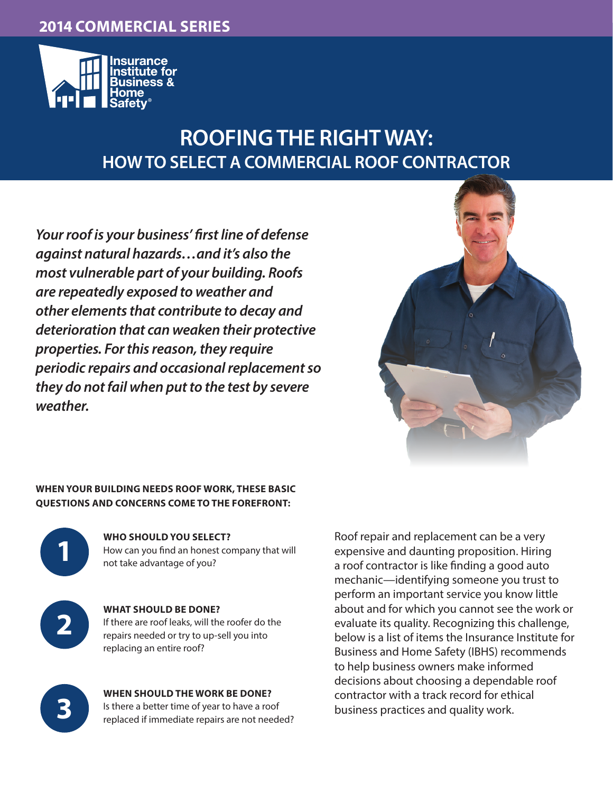# **2013 COMMERCIAL SERIES 2014 COMMERCIAL SERIES**



# **ROOFING THE RIGHT WAY: HOW TO SELECT A COMMERCIAL ROOF CONTRACTOR**

*Your roof is your business' first line of defense against natural hazards…and it's also the most vulnerable part of your building. Roofs are repeatedly exposed to weather and other elements that contribute to decay and deterioration that can weaken their protective properties. For this reason, they require periodic repairs and occasional replacement so they do not fail when put to the test by severe weather.*



#### **WHEN YOUR BUILDING NEEDS ROOF WORK, THESE BASIC QUESTIONS AND CONCERNS COME TO THE FOREFRONT:**



**WHO SHOULD YOU SELECT?** How can you find an honest company that will not take advantage of you?



**3**

**WHAT SHOULD BE DONE?** If there are roof leaks, will the roofer do the repairs needed or try to up-sell you into replacing an entire roof?

**WHEN SHOULD THE WORK BE DONE?** Is there a better time of year to have a roof replaced if immediate repairs are not needed?

Roof repair and replacement can be a very expensive and daunting proposition. Hiring a roof contractor is like finding a good auto mechanic—identifying someone you trust to perform an important service you know little about and for which you cannot see the work or evaluate its quality. Recognizing this challenge, below is a list of items the Insurance Institute for Business and Home Safety (IBHS) recommends to help business owners make informed decisions about choosing a dependable roof contractor with a track record for ethical business practices and quality work.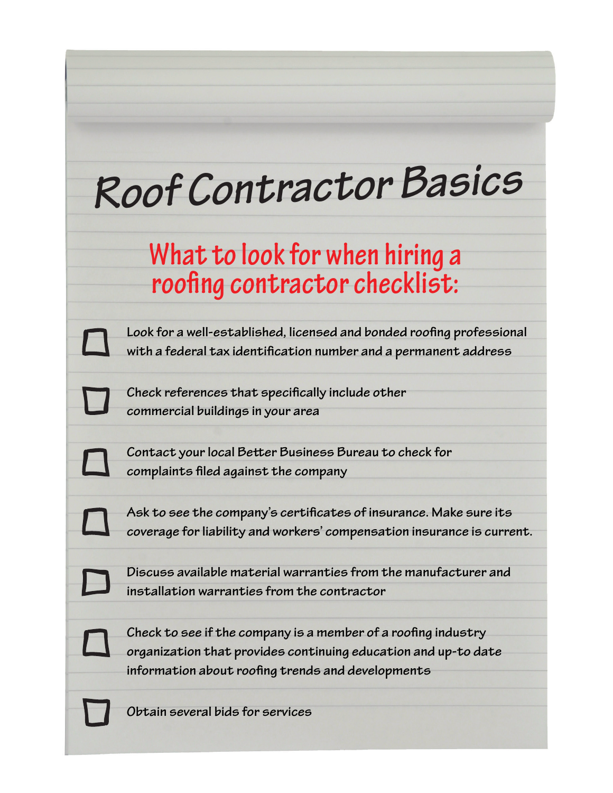# *Roof Contractor Basics*

# **What to look for when hiring a roofing contractor checklist:**

**Look for a well-established, licensed and bonded roofing professional with a federal tax identification number and a permanent address**

**Check references that specifically include other commercial buildings in your area**

**Contact your local Better Business Bureau to check for complaints filed against the company**

**Ask to see the company's certificates of insurance. Make sure its coverage for liability and workers' compensation insurance is current.** 

**Discuss available material warranties from the manufacturer and installation warranties from the contractor**

**Check to see if the company is a member of a roofing industry organization that provides continuing education and up-to date information about roofing trends and developments**

**Obtain several bids for services**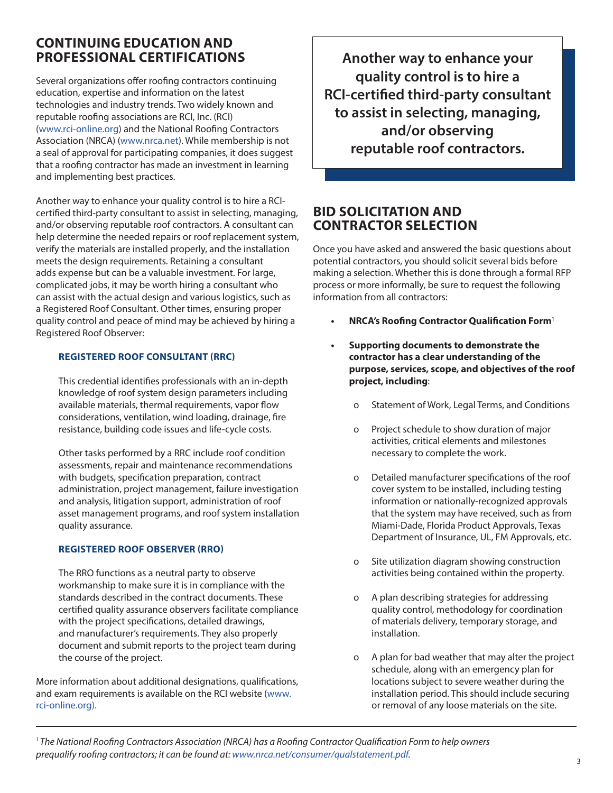# **CONTINUING EDUCATION AND PROFESSIONAL CERTIFICATIONS**

Several organizations offer roofing contractors continuing education, expertise and information on the latest technologies and industry trends. Two widely known and reputable roofing associations are RCI, Inc. (RCI) (www.rci-online.org) and the National Roofing Contractors Association (NRCA) (www.nrca.net). While membership is not a seal of approval for participating companies, it does suggest that a roofing contractor has made an investment in learning and implementing best practices.

Another way to enhance your quality control is to hire a RCIcertified third-party consultant to assist in selecting, managing, and/or observing reputable roof contractors. A consultant can help determine the needed repairs or roof replacement system, verify the materials are installed properly, and the installation meets the design requirements. Retaining a consultant adds expense but can be a valuable investment. For large, complicated jobs, it may be worth hiring a consultant who can assist with the actual design and various logistics, such as a Registered Roof Consultant. Other times, ensuring proper quality control and peace of mind may be achieved by hiring a Registered Roof Observer:

#### **REGISTERED ROOF CONSULTANT (RRC)**

This credential identifies professionals with an in-depth knowledge of roof system design parameters including available materials, thermal requirements, vapor flow considerations, ventilation, wind loading, drainage, fire resistance, building code issues and life-cycle costs.

Other tasks performed by a RRC include roof condition assessments, repair and maintenance recommendations with budgets, specification preparation, contract administration, project management, failure investigation and analysis, litigation support, administration of roof asset management programs, and roof system installation quality assurance.

#### **REGISTERED ROOF OBSERVER (RRO)**

The RRO functions as a neutral party to observe workmanship to make sure it is in compliance with the standards described in the contract documents. These certified quality assurance observers facilitate compliance with the project specifications, detailed drawings, and manufacturer's requirements. They also properly document and submit reports to the project team during the course of the project.

More information about additional designations, qualifications, and exam requirements is available on the RCI website (www. rci-online.org).

**Another way to enhance your quality control is to hire a RCI-certified third-party consultant to assist in selecting, managing, and/or observing reputable roof contractors.**

### **BID SOLICITATION AND CONTRACTOR SELECTION**

Once you have asked and answered the basic questions about potential contractors, you should solicit several bids before making a selection. Whether this is done through a formal RFP process or more informally, be sure to request the following information from all contractors:

- **• NRCA's Roofing Contractor Qualification Form**<sup>1</sup>
- **• Supporting documents to demonstrate the contractor has a clear understanding of the purpose, services, scope, and objectives of the roof project, including**:
	- o Statement of Work, Legal Terms, and Conditions
	- o Project schedule to show duration of major activities, critical elements and milestones necessary to complete the work.
	- o Detailed manufacturer specifications of the roof cover system to be installed, including testing information or nationally-recognized approvals that the system may have received, such as from Miami-Dade, Florida Product Approvals, Texas Department of Insurance, UL, FM Approvals, etc.
	- o Site utilization diagram showing construction activities being contained within the property.
	- o A plan describing strategies for addressing quality control, methodology for coordination of materials delivery, temporary storage, and installation.
	- o A plan for bad weather that may alter the project schedule, along with an emergency plan for locations subject to severe weather during the installation period. This should include securing or removal of any loose materials on the site.

*1 The National Roofing Contractors Association (NRCA) has a Roofing Contractor Qualification Form to help owners prequalify roofing contractors; it can be found at: www.nrca.net/consumer/qualstatement.pdf.*